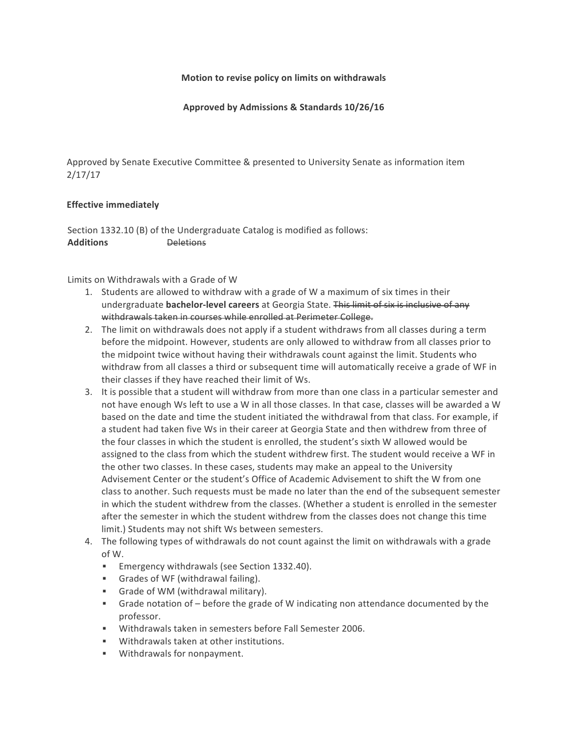## **Motion to revise policy on limits on withdrawals**

Approved by Admissions & Standards 10/26/16

Approved by Senate Executive Committee & presented to University Senate as information item 2/17/17

## **Effective immediately**

Section 1332.10 (B) of the Undergraduate Catalog is modified as follows: **Additions** Deletions

Limits on Withdrawals with a Grade of W

- 1. Students are allowed to withdraw with a grade of W a maximum of six times in their undergraduate **bachelor-level careers** at Georgia State. This limit of six is inclusive of any withdrawals taken in courses while enrolled at Perimeter College.
- 2. The limit on withdrawals does not apply if a student withdraws from all classes during a term before the midpoint. However, students are only allowed to withdraw from all classes prior to the midpoint twice without having their withdrawals count against the limit. Students who withdraw from all classes a third or subsequent time will automatically receive a grade of WF in their classes if they have reached their limit of Ws.
- 3. It is possible that a student will withdraw from more than one class in a particular semester and not have enough Ws left to use a W in all those classes. In that case, classes will be awarded a W based on the date and time the student initiated the withdrawal from that class. For example, if a student had taken five Ws in their career at Georgia State and then withdrew from three of the four classes in which the student is enrolled, the student's sixth W allowed would be assigned to the class from which the student withdrew first. The student would receive a WF in the other two classes. In these cases, students may make an appeal to the University Advisement Center or the student's Office of Academic Advisement to shift the W from one class to another. Such requests must be made no later than the end of the subsequent semester in which the student withdrew from the classes. (Whether a student is enrolled in the semester after the semester in which the student withdrew from the classes does not change this time limit.) Students may not shift Ws between semesters.
- 4. The following types of withdrawals do not count against the limit on withdrawals with a grade of W.
	- Emergency withdrawals (see Section 1332.40).
	- Grades of WF (withdrawal failing).
	- Grade of WM (withdrawal military).
	- **•** Grade notation of  $-$  before the grade of W indicating non attendance documented by the professor.
	- Withdrawals taken in semesters before Fall Semester 2006.
	- Withdrawals taken at other institutions.
	- **■** Withdrawals for nonpayment.